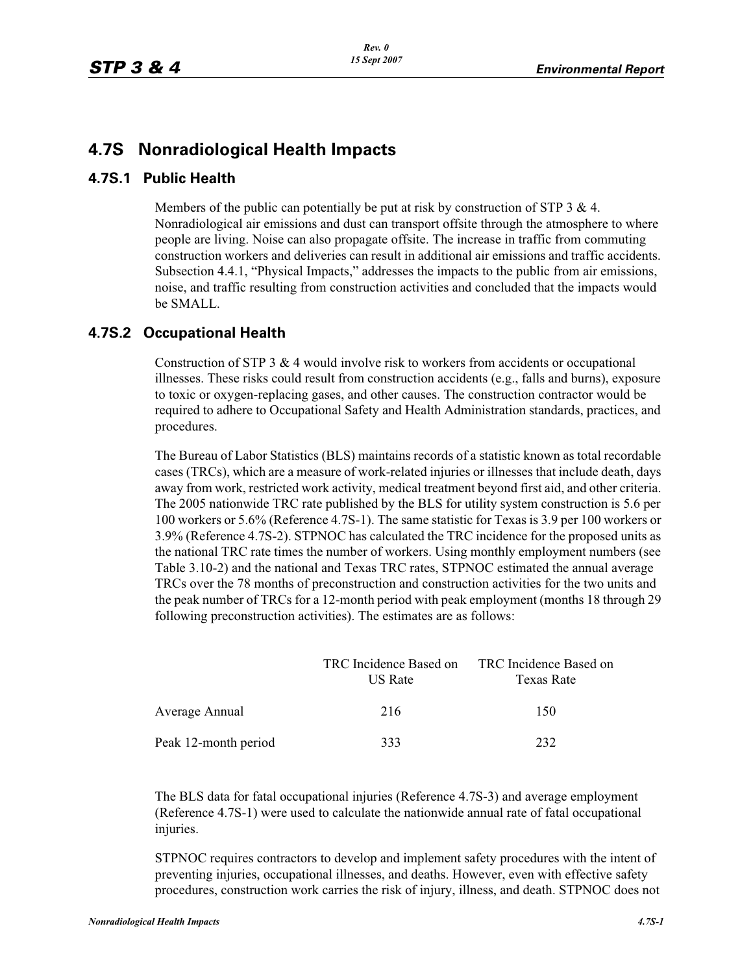## **4.7S Nonradiological Health Impacts**

## **4.7S.1 Public Health**

Members of the public can potentially be put at risk by construction of STP 3  $\&$  4. Nonradiological air emissions and dust can transport offsite through the atmosphere to where people are living. Noise can also propagate offsite. The increase in traffic from commuting construction workers and deliveries can result in additional air emissions and traffic accidents. Subsection 4.4.1, "Physical Impacts," addresses the impacts to the public from air emissions, noise, and traffic resulting from construction activities and concluded that the impacts would be SMALL.

## **4.7S.2 Occupational Health**

Construction of STP 3  $\&$  4 would involve risk to workers from accidents or occupational illnesses. These risks could result from construction accidents (e.g., falls and burns), exposure to toxic or oxygen-replacing gases, and other causes. The construction contractor would be required to adhere to Occupational Safety and Health Administration standards, practices, and procedures.

The Bureau of Labor Statistics (BLS) maintains records of a statistic known as total recordable cases (TRCs), which are a measure of work-related injuries or illnesses that include death, days away from work, restricted work activity, medical treatment beyond first aid, and other criteria. The 2005 nationwide TRC rate published by the BLS for utility system construction is 5.6 per 100 workers or 5.6% (Reference 4.7S-1). The same statistic for Texas is 3.9 per 100 workers or 3.9% (Reference 4.7S-2). STPNOC has calculated the TRC incidence for the proposed units as the national TRC rate times the number of workers. Using monthly employment numbers (see Table 3.10-2) and the national and Texas TRC rates, STPNOC estimated the annual average TRCs over the 78 months of preconstruction and construction activities for the two units and the peak number of TRCs for a 12-month period with peak employment (months 18 through 29 following preconstruction activities). The estimates are as follows:

|                      | TRC Incidence Based on<br>US Rate | TRC Incidence Based on<br>Texas Rate |
|----------------------|-----------------------------------|--------------------------------------|
| Average Annual       | 216                               | 150                                  |
| Peak 12-month period | 333                               | 232                                  |

The BLS data for fatal occupational injuries (Reference 4.7S-3) and average employment (Reference 4.7S-1) were used to calculate the nationwide annual rate of fatal occupational injuries.

STPNOC requires contractors to develop and implement safety procedures with the intent of preventing injuries, occupational illnesses, and deaths. However, even with effective safety procedures, construction work carries the risk of injury, illness, and death. STPNOC does not